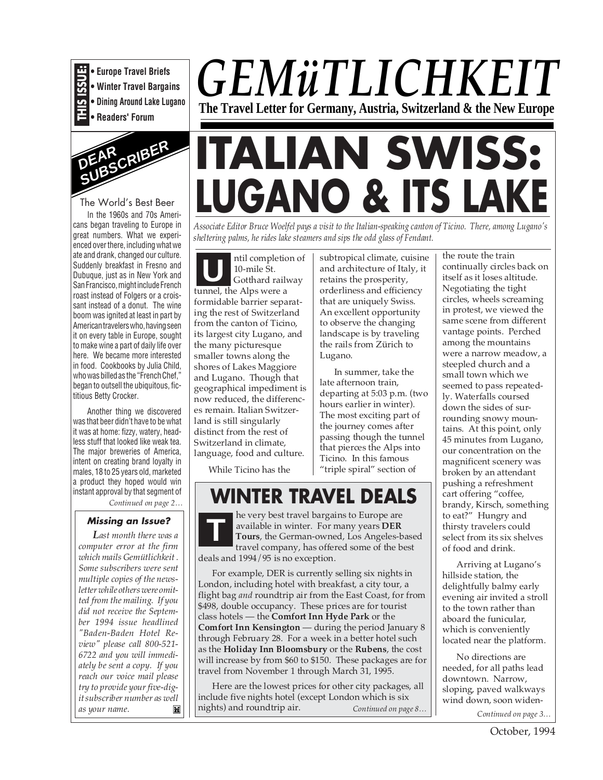

**• Europe Travel Briefs • Winter Travel Bargains**

**• Dining Around Lake Lugano**

**• Readers' Forum**



#### The World's Best Beer

In the 1960s and 70s Americans began traveling to Europe in great numbers. What we experienced over there, including what we ate and drank, changed our culture. Suddenly breakfast in Fresno and Dubuque, just as in New York and San Francisco, might include French roast instead of Folgers or a croissant instead of a donut. The wine boom was ignited at least in part by American travelers who, having seen it on every table in Europe, sought to make wine a part of daily life over here. We became more interested in food. Cookbooks by Julia Child, who was billed as the "French Chef," began to outsell the ubiquitous, fictitious Betty Crocker.

Another thing we discovered was that beer didn't have to be what it was at home: fizzy, watery, headless stuff that looked like weak tea. The major breweries of America, intent on creating brand loyalty in males, 18 to 25 years old, marketed a product they hoped would win instant approval by that segment of

*Continued on page 2…*

#### **Missing an Issue?**

*Last month there was a computer error at the firm which mails Gemütlichkeit . Some subscribers were sent multiple copies of the newsletter while others were omitted from the mailing. If you did not receive the September 1994 issue headlined "Baden-Baden Hotel Review" please call 800-521- 6722 and you will immediately be sent a copy. If you reach our voice mail please try to provide your five-digit subscriber number as well as your name.*

# **ITALIAN SWISS: LUGANO & ITS LAKE**

*GEMüTLICHKEIT*

**The Travel Letter for Germany, Austria, Switzerland & the New Europe**

*Associate Editor Bruce Woelfel pays a visit to the Italian-speaking canton of Ticino. There, among Lugano's sheltering palms, he rides lake steamers and sips the odd glass of Fendant.*

ntil completion of 10-mile St. Gotthard railway tunnel, the Alps were a formidable barrier separating the rest of Switzerland from the canton of Ticino, its largest city Lugano, and the many picturesque smaller towns along the shores of Lakes Maggiore and Lugano. Though that geographical impediment is now reduced, the differences remain. Italian Switzerland is still singularly distinct from the rest of Switzerland in climate, language, food and culture. **U**

subtropical climate, cuisine and architecture of Italy, it retains the prosperity, orderliness and efficiency that are uniquely Swiss. An excellent opportunity to observe the changing landscape is by traveling the rails from Zürich to Lugano.

In summer, take the late afternoon train, departing at 5:03 p.m. (two hours earlier in winter). The most exciting part of the journey comes after passing though the tunnel that pierces the Alps into Ticino. In this famous "triple spiral" section of

While Ticino has the

### **WINTER TRAVEL DEALS**

he very best travel bargains to Europe are available in winter. For many years **DER Tours**, the German-owned, Los Angeles-based travel company, has offered some of the best deals and 1994/95 is no exception. **T**

For example, DER is currently selling six nights in London, including hotel with breakfast, a city tour, a flight bag *and* roundtrip air from the East Coast, for from \$498, double occupancy. These prices are for tourist class hotels — the **Comfort Inn Hyde Park** or the **Comfort Inn Kensington** — during the period January 8 through February 28. For a week in a better hotel such as the **Holiday Inn Bloomsbury** or the **Rubens**, the cost will increase by from \$60 to \$150. These packages are for travel from November 1 through March 31, 1995.

Here are the lowest prices for other city packages, all include five nights hotel (except London which is six nights) and roundtrip air. *Continued on page 8…*

the route the train continually circles back on itself as it loses altitude. Negotiating the tight circles, wheels screaming in protest, we viewed the same scene from different vantage points. Perched among the mountains were a narrow meadow, a steepled church and a small town which we seemed to pass repeatedly. Waterfalls coursed down the sides of surrounding snowy mountains. At this point, only 45 minutes from Lugano, our concentration on the magnificent scenery was broken by an attendant pushing a refreshment cart offering "coffee, brandy, Kirsch, something to eat?" Hungry and thirsty travelers could select from its six shelves of food and drink.

Arriving at Lugano's hillside station, the delightfully balmy early evening air invited a stroll to the town rather than aboard the funicular, which is conveniently located near the platform.

*Continued on page 3…* No directions are needed, for all paths lead downtown. Narrow, sloping, paved walkways wind down, soon widen-

October, 1994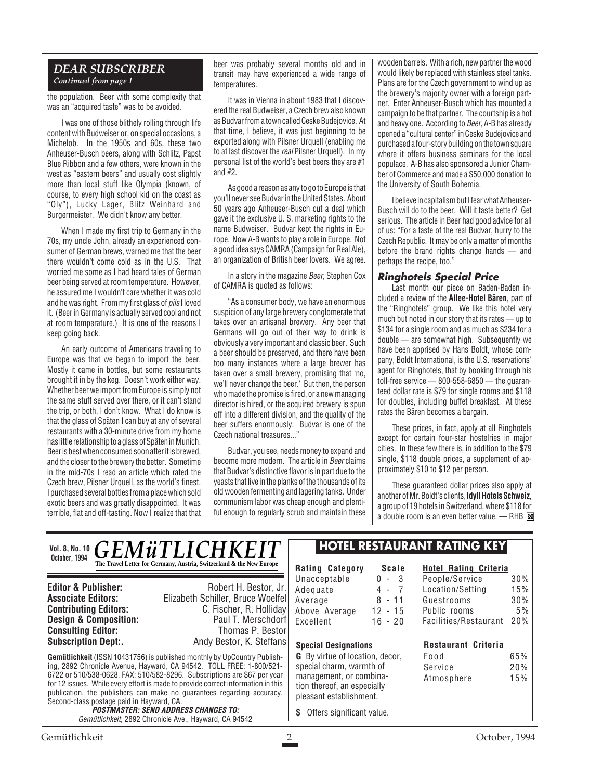#### *DEAR SUBSCRIBER Continued from page 1*

the population. Beer with some complexity that was an "acquired taste" was to be avoided.

I was one of those blithely rolling through life content with Budweiser or, on special occasions, a Michelob. In the 1950s and 60s, these two Anheuser-Busch beers, along with Schlitz, Papst Blue Ribbon and a few others, were known in the west as "eastern beers" and usually cost slightly more than local stuff like Olympia (known, of course, to every high school kid on the coast as "Oly"), Lucky Lager, Blitz Weinhard and Burgermeister. We didn't know any better.

When I made my first trip to Germany in the 70s, my uncle John, already an experienced consumer of German brews, warned me that the beer there wouldn't come cold as in the U.S. That worried me some as I had heard tales of German beer being served at room temperature. However, he assured me I wouldn't care whether it was cold and he was right. From my first glass of pils I loved it. (Beer in Germany is actually served cool and not at room temperature.) It is one of the reasons I keep going back.

An early outcome of Americans traveling to Europe was that we began to import the beer. Mostly it came in bottles, but some restaurants brought it in by the keg. Doesn't work either way. Whether beer we import from Europe is simply not the same stuff served over there, or it can't stand the trip, or both, I don't know. What I do know is that the glass of Späten I can buy at any of several restaurants with a 30-minute drive from my home has little relationship to a glass of Späten in Munich. Beer is best when consumed soon after it is brewed, and the closer to the brewery the better. Sometime in the mid-70s I read an article which rated the Czech brew, Pilsner Urquell, as the world's finest. I purchased several bottles from a place which sold exotic beers and was greatly disappointed. It was terrible, flat and off-tasting. Now I realize that that beer was probably several months old and in transit may have experienced a wide range of temperatures.

It was in Vienna in about 1983 that I discovered the real Budweiser, a Czech brew also known as Budvar from a town called Ceske Budejovice. At that time, I believe, it was just beginning to be exported along with Pilsner Urquell (enabling me to at last discover the real Pilsner Urquell). In my personal list of the world's best beers they are #1 and #2.

As good a reason as any to go to Europe is that you'll never see Budvar in the United States. About 50 years ago Anheuser-Busch cut a deal which gave it the exclusive U. S. marketing rights to the name Budweiser. Budvar kept the rights in Europe. Now A-B wants to play a role in Europe. Not a good idea says CAMRA (Campaign for Real Ale), an organization of British beer lovers. We agree.

In a story in the magazine *Beer*, Stephen Cox of CAMRA is quoted as follows:

"As a consumer body, we have an enormous suspicion of any large brewery conglomerate that takes over an artisanal brewery. Any beer that Germans will go out of their way to drink is obviously a very important and classic beer. Such a beer should be preserved, and there have been too many instances where a large brewer has taken over a small brewery, promising that 'no, we'll never change the beer.' But then, the person who made the promise is fired, or a new managing director is hired, or the acquired brewery is spun off into a different division, and the quality of the beer suffers enormously. Budvar is one of the Czech national treasures..."

Budvar, you see, needs money to expand and become more modern. The article in Beer claims that Budvar's distinctive flavor is in part due to the yeasts that live in the planks of the thousands of its old wooden fermenting and lagering tanks. Under communism labor was cheap enough and plentiful enough to regularly scrub and maintain these

wooden barrels. With a rich, new partner the wood would likely be replaced with stainless steel tanks. Plans are for the Czech government to wind up as the brewery's majority owner with a foreign partner. Enter Anheuser-Busch which has mounted a campaign to be that partner. The courtship is a hot and heavy one. According to Beer, A-B has already opened a "cultural center" in Ceske Budejovice and purchased a four-story building on the town square where it offers business seminars for the local populace. A-B has also sponsored a Junior Chamber of Commerce and made a \$50,000 donation to the University of South Bohemia.

I believe in capitalism but I fear what Anheuser-Busch will do to the beer. Will it taste better? Get serious. The article in Beer had good advice for all of us: "For a taste of the real Budvar, hurry to the Czech Republic. It may be only a matter of months before the brand rights change hands — and perhaps the recipe, too."

#### **Ringhotels Special Price**

Last month our piece on Baden-Baden included a review of the **Allee-Hotel Bären**, part of the "Ringhotels" group. We like this hotel very much but noted in our story that its rates — up to \$134 for a single room and as much as \$234 for a double — are somewhat high. Subsequently we have been apprised by Hans Boldt, whose company, Boldt International, is the U.S. reservations' agent for Ringhotels, that by booking through his toll-free service — 800-558-6850 — the guaranteed dollar rate is \$79 for single rooms and \$118 for doubles, including buffet breakfast. At these rates the Bären becomes a bargain.

These prices, in fact, apply at all Ringhotels except for certain four-star hostelries in major cities. In these few there is, in addition to the \$79 single, \$118 double prices, a supplement of approximately \$10 to \$12 per person.

These guaranteed dollar prices also apply at another of Mr. Boldt's clients, **Idyll Hotels Schweiz**, a group of 19 hotels in Switzerland, where \$118 for a double room is an even better value. - RHB

> **Hotel Rating Criteria** People/Service 30%

|  | VOI. 8, NO. 10 $\bm{GEM\ddot{u}TLICHKEIT}$<br>The Travel Letter for Germany, Austria, Switzerland & the New Europe |
|--|--------------------------------------------------------------------------------------------------------------------|
|--|--------------------------------------------------------------------------------------------------------------------|

**Consulting Editor:**<br>Subscription Dept:.

**Vol. 8.** 

**Editor & Publisher:** Robert H. Bestor, Jr. **Associate Editors:** Elizabeth Schiller, Bruce Woelfel **C. Fischer, R. Holliday**<br>Paul T. Merschdorf **Design & Composition:** Paul T. Merschdorf **Consulting Editor:** Paul T. Merschdorf **Consulting Editor:** Paul Thomas P. Bestor Andy Bestor, K. Steffans

**Gemütlichkeit** (ISSN 10431756) is published monthly by UpCountry Publishing, 2892 Chronicle Avenue, Hayward, CA 94542. TOLL FREE: 1-800/521- 6722 or 510/538-0628. FAX: 510/582-8296. Subscriptions are \$67 per year for 12 issues. While every effort is made to provide correct information in this publication, the publishers can make no guarantees regarding accuracy. Second-class postage paid in Hayward, CA.

**POSTMASTER: SEND ADDRESS CHANGES TO:** Gemütlichkeit, 2892 Chronicle Ave., Hayward, CA 94542

#### **HOTEL RESTAURANT RATING KEY**

**Rating Category Scale** Unacceptable 0 - 3 Adequate 4 - 7<br>Average 8 - 11 Average Above Average 12 - 15 Excellent 16 - 20

#### Location/Setting 15% Guestrooms 30% Public rooms 5% Facilities/Restaurant 20%

#### **Restaurant Criteria** Food 65% Service 20% Atmosphere 15%

pleasant establishment. **\$** Offers significant value.

**Special Designations G** By virtue of location, decor, special charm, warmth of management, or combination thereof, an especially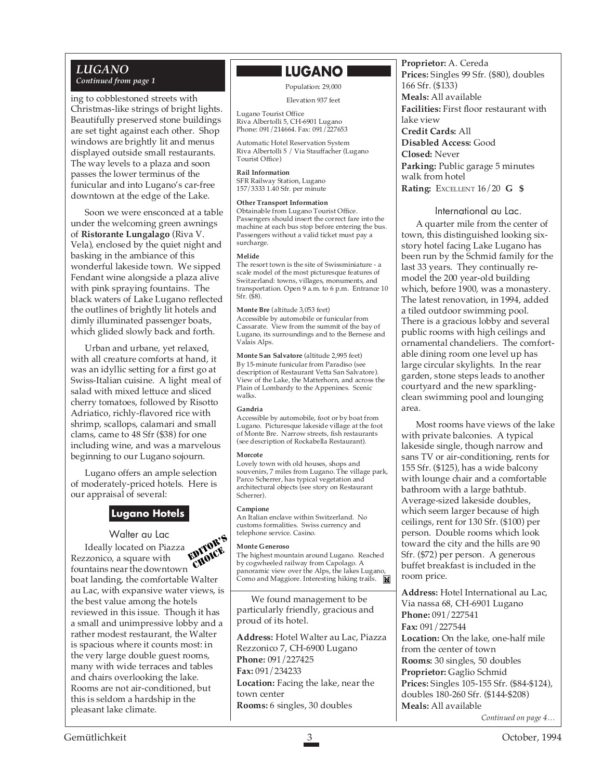#### *LUGANO Continued from page 1*

ing to cobblestoned streets with Christmas-like strings of bright lights. Beautifully preserved stone buildings are set tight against each other. Shop windows are brightly lit and menus displayed outside small restaurants. The way levels to a plaza and soon passes the lower terminus of the funicular and into Lugano's car-free downtown at the edge of the Lake.

Soon we were ensconced at a table under the welcoming green awnings of **Ristorante Lungalago** (Riva V. Vela), enclosed by the quiet night and basking in the ambiance of this wonderful lakeside town. We sipped Fendant wine alongside a plaza alive with pink spraying fountains. The black waters of Lake Lugano reflected the outlines of brightly lit hotels and dimly illuminated passenger boats, which glided slowly back and forth.

Urban and urbane, yet relaxed, with all creature comforts at hand, it was an idyllic setting for a first go at Swiss-Italian cuisine. A light meal of salad with mixed lettuce and sliced cherry tomatoes, followed by Risotto Adriatico, richly-flavored rice with shrimp, scallops, calamari and small clams, came to 48 Sfr (\$38) for one including wine, and was a marvelous beginning to our Lugano sojourn.

Lugano offers an ample selection of moderately-priced hotels. Here is our appraisal of several:

#### **Lugano Hotels**

Walter au Lac Ideally located on Piazza Rezzonico, a square with fountains near the downtown boat landing, the comfortable Walter au Lac, with expansive water views, is the best value among the hotels reviewed in this issue. Though it has a small and unimpressive lobby and a rather modest restaurant, the Walter is spacious where it counts most: in the very large double guest rooms, many with wide terraces and tables and chairs overlooking the lake. Rooms are not air-conditioned, but this is seldom a hardship in the pleasant lake climate. EDITOR'S *INDICE* 

#### **LUGANO**

#### Population: 29,000

#### Elevation 937 feet

Lugano Tourist Office Riva Albertolli 5, CH-6901 Lugano Phone: 091/214664. Fax: 091/227653

Automatic Hotel Reservation System Riva Albertolli 5 / Via Stauffacher (Lugano Tourist Office)

**Rail Information** SFR Railway Station, Lugano 157/3333 1.40 Sfr. per minute

#### **Other Transport Information**

Obtainable from Lugano Tourist Office. Passengers should insert the correct fare into the machine at each bus stop before entering the bus. Passengers without a valid ticket must pay a surcharge.

#### **Melide**

The resort town is the site of Swissminiature - a scale model of the most picturesque features of Switzerland: towns, villages, monuments, and transportation. Open 9 a.m. to 6 p.m. Entrance 10 Sfr. (\$8).

**Monte Bre** (altitude 3,053 feet) Accessible by automobile or funicular from Cassarate. View from the summit of the bay of Lugano, its surroundings and to the Bernese and Valais Alps.

**Monte San Salvatore** (altitude 2,995 feet) By 15-minute funicular from Paradiso (see description of Restaurant Vetta San Salvatore). View of the Lake, the Matterhorn, and across the Plain of Lombardy to the Appenines. Scenic walks.

#### **Gandria**

Accessible by automobile, foot or by boat from Lugano. Picturesque lakeside village at the foot of Monte Bre. Narrow streets, fish restaurants (see description of Rockabella Restaurant).

#### **Morcote**

Lovely town with old houses, shops and souvenirs, 7 miles from Lugano. The village park, Parco Scherrer, has typical vegetation and architectural objects (see story on Restaurant Scherrer).

#### **Campione**

An Italian enclave within Switzerland. No customs formalities. Swiss currency and telephone service. Casino.

#### **Monte Generoso**

The highest mountain around Lugano. Reached by cogwheeled railway from Capolago. A panoramic view over the Alps, the lakes Lugano, Como and Maggiore. Interesting hiking trails. **H** 

We found management to be particularly friendly, gracious and proud of its hotel.

**Address:** Hotel Walter au Lac, Piazza Rezzonico 7, CH-6900 Lugano **Phone:** 091/227425 **Fax:** 091/234233 **Location:** Facing the lake, near the town center **Rooms:** 6 singles, 30 doubles

**Proprietor:** A. Cereda **Prices:** Singles 99 Sfr. (\$80), doubles 166 Sfr. (\$133) **Meals:** All available **Facilities:** First floor restaurant with lake view **Credit Cards:** All **Disabled Access:** Good **Closed:** Never **Parking:** Public garage 5 minutes walk from hotel **Rating:** EXCELLENT 16/20 **G \$**

#### International au Lac.

A quarter mile from the center of town, this distinguished looking sixstory hotel facing Lake Lugano has been run by the Schmid family for the last 33 years. They continually remodel the 200 year-old building which, before 1900, was a monastery. The latest renovation, in 1994, added a tiled outdoor swimming pool. There is a gracious lobby and several public rooms with high ceilings and ornamental chandeliers. The comfortable dining room one level up has large circular skylights. In the rear garden, stone steps leads to another courtyard and the new sparklingclean swimming pool and lounging area.

Most rooms have views of the lake with private balconies. A typical lakeside single, though narrow and sans TV or air-conditioning, rents for 155 Sfr. (\$125), has a wide balcony with lounge chair and a comfortable bathroom with a large bathtub. Average-sized lakeside doubles, which seem larger because of high ceilings, rent for 130 Sfr. (\$100) per person. Double rooms which look toward the city and the hills are 90 Sfr. (\$72) per person. A generous buffet breakfast is included in the room price.

**Address:** Hotel International au Lac, Via nassa 68, CH-6901 Lugano **Phone:** 091/227541 **Fax:** 091/227544 **Location:** On the lake, one-half mile from the center of town **Rooms:** 30 singles, 50 doubles **Proprietor:** Gaglio Schmid **Prices:** Singles 105-155 Sfr. (\$84-\$124), doubles 180-260 Sfr. (\$144-\$208) **Meals:** All available *Continued on page 4…*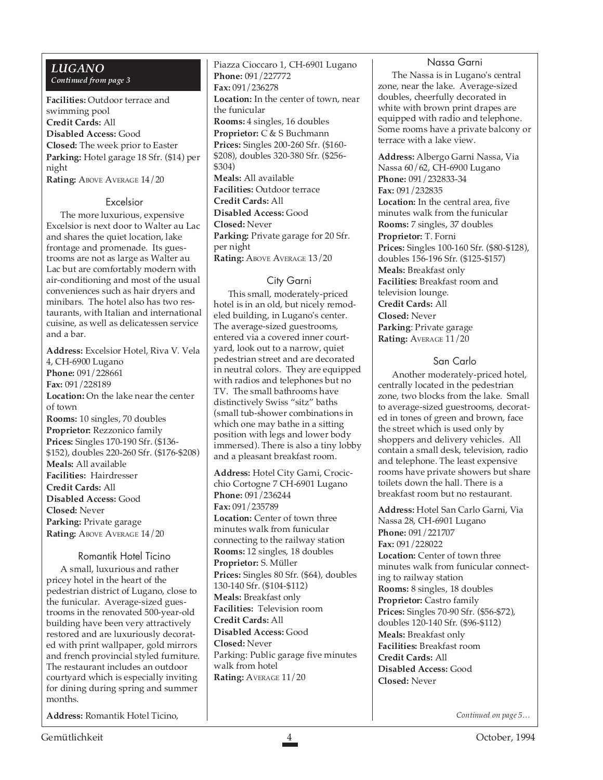#### *LUGANO Continued from page 3*

**Facilities:** Outdoor terrace and swimming pool **Credit Cards:** All **Disabled Access:** Good **Closed:** The week prior to Easter **Parking:** Hotel garage 18 Sfr. (\$14) per night **Rating: ABOVE AVERAGE 14/20** 

#### Excelsior

The more luxurious, expensive Excelsior is next door to Walter au Lac and shares the quiet location, lake frontage and promenade. Its guestrooms are not as large as Walter au Lac but are comfortably modern with air-conditioning and most of the usual conveniences such as hair dryers and minibars. The hotel also has two restaurants, with Italian and international cuisine, as well as delicatessen service and a bar.

**Address:** Excelsior Hotel, Riva V. Vela 4, CH-6900 Lugano **Phone:** 091/228661 **Fax:** 091/228189 **Location:** On the lake near the center of town **Rooms:** 10 singles, 70 doubles **Proprietor:** Rezzonico family **Prices:** Singles 170-190 Sfr. (\$136- \$152), doubles 220-260 Sfr. (\$176-\$208) **Meals:** All available **Facilities:** Hairdresser **Credit Cards:** All **Disabled Access:** Good **Closed:** Never **Parking:** Private garage **Rating: ABOVE AVERAGE 14/20** 

#### Romantik Hotel Ticino

A small, luxurious and rather pricey hotel in the heart of the pedestrian district of Lugano, close to the funicular. Average-sized guestrooms in the renovated 500-year-old building have been very attractively restored and are luxuriously decorated with print wallpaper, gold mirrors and french provincial styled furniture. The restaurant includes an outdoor courtyard which is especially inviting for dining during spring and summer months.

**Address:** Romantik Hotel Ticino,

Piazza Cioccaro 1, CH-6901 Lugano **Phone:** 091/227772 **Fax:** 091/236278 **Location:** In the center of town, near the funicular **Rooms:** 4 singles, 16 doubles **Proprietor:** C & S Buchmann **Prices:** Singles 200-260 Sfr. (\$160- \$208), doubles 320-380 Sfr. (\$256- \$304) **Meals:** All available **Facilities:** Outdoor terrace **Credit Cards:** All **Disabled Access:** Good **Closed:** Never **Parking:** Private garage for 20 Sfr. per night **Rating: ABOVE AVERAGE 13/20** 

#### City Garni

This small, moderately-priced hotel is in an old, but nicely remodeled building, in Lugano's center. The average-sized guestrooms, entered via a covered inner courtyard, look out to a narrow, quiet pedestrian street and are decorated in neutral colors. They are equipped with radios and telephones but no TV. The small bathrooms have distinctively Swiss "sitz" baths (small tub-shower combinations in which one may bathe in a sitting position with legs and lower body immersed). There is also a tiny lobby and a pleasant breakfast room.

**Address:** Hotel City Garni, Crocicchio Cortogne 7 CH-6901 Lugano **Phone:** 091/236244 **Fax:** 091/235789 **Location:** Center of town three minutes walk from funicular connecting to the railway station **Rooms:** 12 singles, 18 doubles **Proprietor:** S. Müller **Prices:** Singles 80 Sfr. (\$64), doubles 130-140 Sfr. (\$104-\$112) **Meals:** Breakfast only **Facilities:** Television room **Credit Cards:** All **Disabled Access:** Good **Closed:** Never Parking: Public garage five minutes walk from hotel **Rating:** AVERAGE 11/20

#### Nassa Garni

The Nassa is in Lugano's central zone, near the lake. Average-sized doubles, cheerfully decorated in white with brown print drapes are equipped with radio and telephone. Some rooms have a private balcony or terrace with a lake view.

**Address:** Albergo Garni Nassa, Via Nassa 60/62, CH-6900 Lugano **Phone:** 091/232833-34 **Fax:** 091/232835 **Location:** In the central area, five minutes walk from the funicular **Rooms:** 7 singles, 37 doubles **Proprietor:** T. Forni **Prices:** Singles 100-160 Sfr. (\$80-\$128), doubles 156-196 Sfr. (\$125-\$157) **Meals:** Breakfast only **Facilities:** Breakfast room and television lounge. **Credit Cards:** All **Closed:** Never **Parking**: Private garage **Rating:** AVERAGE 11/20

#### San Carlo

Another moderately-priced hotel, centrally located in the pedestrian zone, two blocks from the lake. Small to average-sized guestrooms, decorated in tones of green and brown, face the street which is used only by shoppers and delivery vehicles. All contain a small desk, television, radio and telephone. The least expensive rooms have private showers but share toilets down the hall. There is a breakfast room but no restaurant.

**Address:** Hotel San Carlo Garni, Via Nassa 28, CH-6901 Lugano **Phone:** 091/221707 **Fax:** 091/228022 **Location:** Center of town three minutes walk from funicular connecting to railway station **Rooms:** 8 singles, 18 doubles **Proprietor:** Castro family **Prices:** Singles 70-90 Sfr. (\$56-\$72), doubles 120-140 Sfr. (\$96-\$112) **Meals:** Breakfast only **Facilities:** Breakfast room **Credit Cards:** All **Disabled Access:** Good **Closed:** Never

*Continued on page 5…*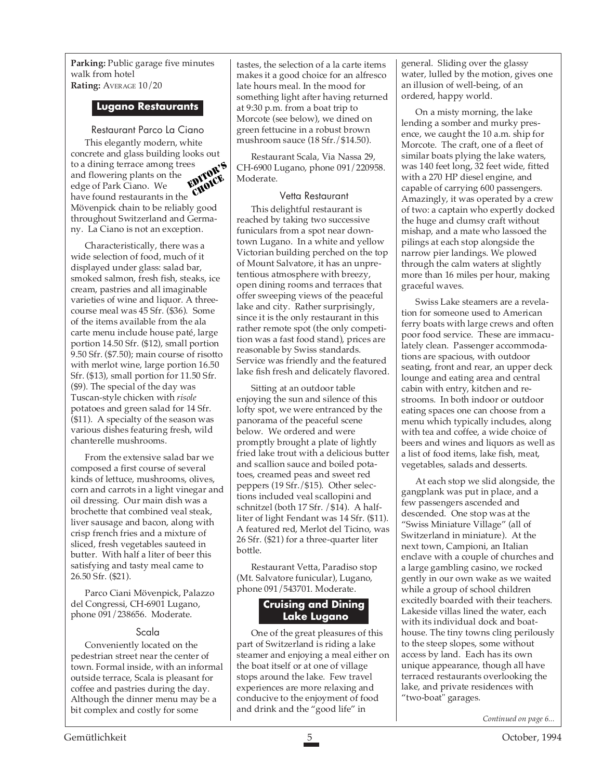**Parking:** Public garage five minutes walk from hotel **Rating:** AVERAGE 10/20

#### **Lugano Restaurants**

Restaurant Parco La Ciano This elegantly modern, white concrete and glass building looks out to a dining terrace among trees and flowering plants on the edge of Park Ciano. We have found restaurants in the Mövenpick chain to be reliably good throughout Switzerland and Germany. La Ciano is not an exception. EDITOR'S CHOICE

Characteristically, there was a wide selection of food, much of it displayed under glass: salad bar, smoked salmon, fresh fish, steaks, ice cream, pastries and all imaginable varieties of wine and liquor. A threecourse meal was 45 Sfr. (\$36). Some of the items available from the ala carte menu include house paté, large portion 14.50 Sfr. (\$12), small portion 9.50 Sfr. (\$7.50); main course of risotto with merlot wine, large portion 16.50 Sfr. (\$13), small portion for 11.50 Sfr. (\$9). The special of the day was Tuscan-style chicken with *risole* potatoes and green salad for 14 Sfr. (\$11). A specialty of the season was various dishes featuring fresh, wild chanterelle mushrooms.

From the extensive salad bar we composed a first course of several kinds of lettuce, mushrooms, olives, corn and carrots in a light vinegar and oil dressing. Our main dish was a brochette that combined veal steak, liver sausage and bacon, along with crisp french fries and a mixture of sliced, fresh vegetables sauteed in butter. With half a liter of beer this satisfying and tasty meal came to 26.50 Sfr. (\$21).

Parco Ciani Mövenpick, Palazzo del Congressi, CH-6901 Lugano, phone 091/238656. Moderate.

#### Scala

Conveniently located on the pedestrian street near the center of town. Formal inside, with an informal outside terrace, Scala is pleasant for coffee and pastries during the day. Although the dinner menu may be a bit complex and costly for some

tastes, the selection of a la carte items makes it a good choice for an alfresco late hours meal. In the mood for something light after having returned at 9:30 p.m. from a boat trip to Morcote (see below), we dined on green fettucine in a robust brown mushroom sauce (18 Sfr./\$14.50).

Restaurant Scala, Via Nassa 29, CH-6900 Lugano, phone 091/220958. Moderate.

#### Vetta Restaurant

This delightful restaurant is reached by taking two successive funiculars from a spot near downtown Lugano. In a white and yellow Victorian building perched on the top of Mount Salvatore, it has an unpretentious atmosphere with breezy, open dining rooms and terraces that offer sweeping views of the peaceful lake and city. Rather surprisingly, since it is the only restaurant in this rather remote spot (the only competition was a fast food stand), prices are reasonable by Swiss standards. Service was friendly and the featured lake fish fresh and delicately flavored.

Sitting at an outdoor table enjoying the sun and silence of this lofty spot, we were entranced by the panorama of the peaceful scene below. We ordered and were promptly brought a plate of lightly fried lake trout with a delicious butter and scallion sauce and boiled potatoes, creamed peas and sweet red peppers (19 Sfr./\$15). Other selections included veal scallopini and schnitzel (both 17 Sfr. /\$14). A halfliter of light Fendant was 14 Sfr. (\$11). A featured red, Merlot del Ticino, was 26 Sfr. (\$21) for a three-quarter liter bottle.

Restaurant Vetta, Paradiso stop (Mt. Salvatore funicular), Lugano, phone 091/543701. Moderate.

#### **Cruising and Dining Lake Lugano**

One of the great pleasures of this part of Switzerland is riding a lake steamer and enjoying a meal either on the boat itself or at one of village stops around the lake. Few travel experiences are more relaxing and conducive to the enjoyment of food and drink and the "good life" in

general. Sliding over the glassy water, lulled by the motion, gives one an illusion of well-being, of an ordered, happy world.

On a misty morning, the lake lending a somber and murky presence, we caught the 10 a.m. ship for Morcote. The craft, one of a fleet of similar boats plying the lake waters, was 140 feet long, 32 feet wide, fitted with a 270 HP diesel engine, and capable of carrying 600 passengers. Amazingly, it was operated by a crew of two: a captain who expertly docked the huge and clumsy craft without mishap, and a mate who lassoed the pilings at each stop alongside the narrow pier landings. We plowed through the calm waters at slightly more than 16 miles per hour, making graceful waves.

Swiss Lake steamers are a revelation for someone used to American ferry boats with large crews and often poor food service. These are immaculately clean. Passenger accommodations are spacious, with outdoor seating, front and rear, an upper deck lounge and eating area and central cabin with entry, kitchen and restrooms. In both indoor or outdoor eating spaces one can choose from a menu which typically includes, along with tea and coffee, a wide choice of beers and wines and liquors as well as a list of food items, lake fish, meat, vegetables, salads and desserts.

At each stop we slid alongside, the gangplank was put in place, and a few passengers ascended and descended. One stop was at the "Swiss Miniature Village" (all of Switzerland in miniature). At the next town, Campioni, an Italian enclave with a couple of churches and a large gambling casino, we rocked gently in our own wake as we waited while a group of school children excitedly boarded with their teachers. Lakeside villas lined the water, each with its individual dock and boathouse. The tiny towns cling perilously to the steep slopes, some without access by land. Each has its own unique appearance, though all have terraced restaurants overlooking the lake, and private residences with "two-boat" garages.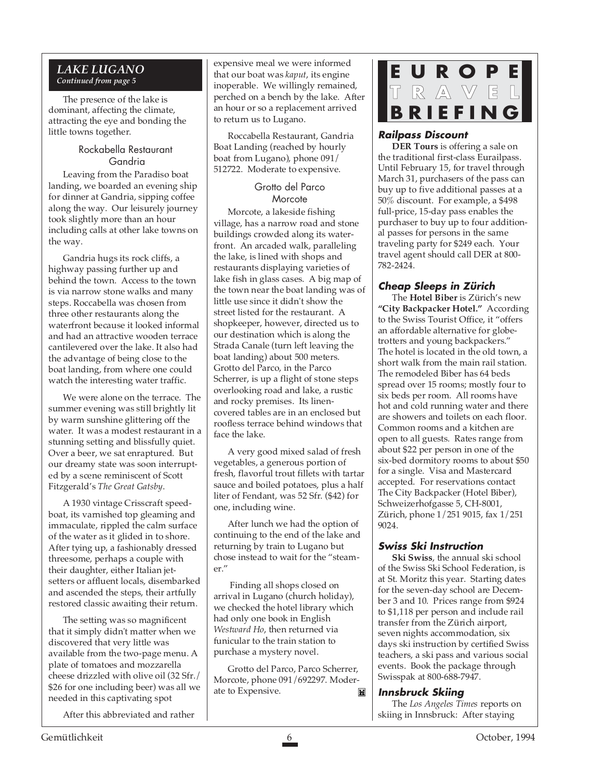#### *LAKE LUGANO Continued from page 5*

The presence of the lake is dominant, affecting the climate, attracting the eye and bonding the little towns together.

#### Rockabella Restaurant Gandria

Leaving from the Paradiso boat landing, we boarded an evening ship for dinner at Gandria, sipping coffee along the way. Our leisurely journey took slightly more than an hour including calls at other lake towns on the way.

Gandria hugs its rock cliffs, a highway passing further up and behind the town. Access to the town is via narrow stone walks and many steps. Roccabella was chosen from three other restaurants along the waterfront because it looked informal and had an attractive wooden terrace cantilevered over the lake. It also had the advantage of being close to the boat landing, from where one could watch the interesting water traffic.

We were alone on the terrace. The summer evening was still brightly lit by warm sunshine glittering off the water. It was a modest restaurant in a stunning setting and blissfully quiet. Over a beer, we sat enraptured. But our dreamy state was soon interrupted by a scene reminiscent of Scott Fitzgerald's *The Great Gatsby*.

A 1930 vintage Crisscraft speedboat, its varnished top gleaming and immaculate, rippled the calm surface of the water as it glided in to shore. After tying up, a fashionably dressed threesome, perhaps a couple with their daughter, either Italian jetsetters or affluent locals, disembarked and ascended the steps, their artfully restored classic awaiting their return.

The setting was so magnificent that it simply didn't matter when we discovered that very little was available from the two-page menu. A plate of tomatoes and mozzarella cheese drizzled with olive oil (32 Sfr./ \$26 for one including beer) was all we needed in this captivating spot

After this abbreviated and rather

expensive meal we were informed that our boat was *kaput*, its engine inoperable. We willingly remained, perched on a bench by the lake. After an hour or so a replacement arrived to return us to Lugano.

Roccabella Restaurant, Gandria Boat Landing (reached by hourly boat from Lugano), phone 091/ 512722. Moderate to expensive.

#### Grotto del Parco **Morcote**

Morcote, a lakeside fishing village, has a narrow road and stone buildings crowded along its waterfront. An arcaded walk, paralleling the lake, is lined with shops and restaurants displaying varieties of lake fish in glass cases. A big map of the town near the boat landing was of little use since it didn't show the street listed for the restaurant. A shopkeeper, however, directed us to our destination which is along the Strada Canale (turn left leaving the boat landing) about 500 meters. Grotto del Parco, in the Parco Scherrer, is up a flight of stone steps overlooking road and lake, a rustic and rocky premises. Its linencovered tables are in an enclosed but roofless terrace behind windows that face the lake.

A very good mixed salad of fresh vegetables, a generous portion of fresh, flavorful trout fillets with tartar sauce and boiled potatoes, plus a half liter of Fendant, was 52 Sfr. (\$42) for one, including wine.

After lunch we had the option of continuing to the end of the lake and returning by train to Lugano but chose instead to wait for the "steamer."

 Finding all shops closed on arrival in Lugano (church holiday), we checked the hotel library which had only one book in English *Westward Ho*, then returned via funicular to the train station to purchase a mystery novel.

Grotto del Parco, Parco Scherrer, Morcote, phone 091/692297. Moderate to Expensive. M

## **EUROPE TRAVEL BRIEFING**

#### **Railpass Discount**

**DER Tours** is offering a sale on the traditional first-class Eurailpass. Until February 15, for travel through March 31, purchasers of the pass can buy up to five additional passes at a 50% discount. For example, a \$498 full-price, 15-day pass enables the purchaser to buy up to four additional passes for persons in the same traveling party for \$249 each. Your travel agent should call DER at 800- 782-2424.

#### **Cheap Sleeps in Zürich**

The **Hotel Biber** is Zürich's new **"City Backpacker Hotel."** According to the Swiss Tourist Office, it "offers an affordable alternative for globetrotters and young backpackers." The hotel is located in the old town, a short walk from the main rail station. The remodeled Biber has 64 beds spread over 15 rooms; mostly four to six beds per room. All rooms have hot and cold running water and there are showers and toilets on each floor. Common rooms and a kitchen are open to all guests. Rates range from about \$22 per person in one of the six-bed dormitory rooms to about \$50 for a single. Visa and Mastercard accepted. For reservations contact The City Backpacker (Hotel Biber), Schweizerhofgasse 5, CH-8001, Zürich, phone 1/251 9015, fax 1/251 9024.

#### **Swiss Ski Instruction**

**Ski Swiss**, the annual ski school of the Swiss Ski School Federation, is at St. Moritz this year. Starting dates for the seven-day school are December 3 and 10. Prices range from \$924 to \$1,118 per person and include rail transfer from the Zürich airport, seven nights accommodation, six days ski instruction by certified Swiss teachers, a ski pass and various social events. Book the package through Swisspak at 800-688-7947.

#### **Innsbruck Skiing**

The *Los Angeles Times* reports on skiing in Innsbruck: After staying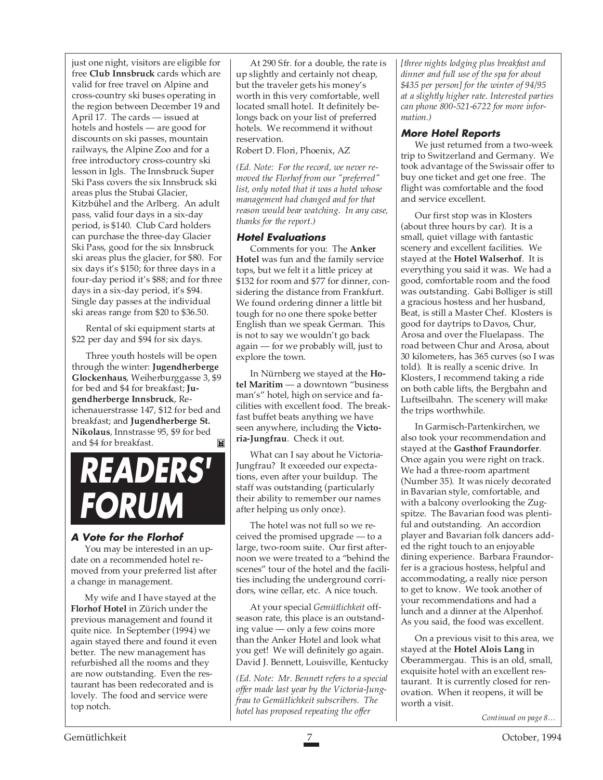just one night, visitors are eligible for free **Club Innsbruck** cards which are valid for free travel on Alpine and cross-country ski buses operating in the region between December 19 and April 17. The cards — issued at hotels and hostels — are good for discounts on ski passes, mountain railways, the Alpine Zoo and for a free introductory cross-country ski lesson in Igls. The Innsbruck Super Ski Pass covers the six Innsbruck ski areas plus the Stubai Glacier, Kitzbühel and the Arlberg. An adult pass, valid four days in a six-day period, is \$140. Club Card holders can purchase the three-day Glacier Ski Pass, good for the six Innsbruck ski areas plus the glacier, for \$80. For six days it's \$150; for three days in a four-day period it's \$88; and for three days in a six-day period, it's \$94. Single day passes at the individual ski areas range from \$20 to \$36.50.

Rental of ski equipment starts at \$22 per day and \$94 for six days.

Three youth hostels will be open through the winter: **Jugendherberge Glockenhaus**, Weiherburggasse 3, \$9 for bed and \$4 for breakfast; **Jugendherberge Innsbruck**, Reichenauerstrasse 147, \$12 for bed and breakfast; and **Jugendherberge St. Nikolaus**, Innstrasse 95, \$9 for bed and \$4 for breakfast. M

## **READERS' FORUM**

#### **A Vote for the Florhof**

You may be interested in an update on a recommended hotel removed from your preferred list after a change in management.

My wife and I have stayed at the **Florhof Hotel** in Zürich under the previous management and found it quite nice. In September (1994) we again stayed there and found it even better. The new management has refurbished all the rooms and they are now outstanding. Even the restaurant has been redecorated and is lovely. The food and service were top notch.

At 290 Sfr. for a double, the rate is up slightly and certainly not cheap, but the traveler gets his money's worth in this very comfortable, well located small hotel. It definitely belongs back on your list of preferred hotels. We recommend it without reservation.

Robert D. Flori, Phoenix, AZ

*(Ed. Note: For the record, we never removed the Florhof from our "preferred" list, only noted that it was a hotel whose management had changed and for that reason would bear watching. In any case, thanks for the report.)*

#### **Hotel Evaluations**

Comments for you: The **Anker Hotel** was fun and the family service tops, but we felt it a little pricey at \$132 for room and \$77 for dinner, considering the distance from Frankfurt. We found ordering dinner a little bit tough for no one there spoke better English than we speak German. This is not to say we wouldn't go back again — for we probably will, just to explore the town.

In Nürnberg we stayed at the **Hotel Maritim** — a downtown "business man's" hotel, high on service and facilities with excellent food. The breakfast buffet beats anything we have seen anywhere, including the **Victoria-Jungfrau**. Check it out.

What can I say about he Victoria-Jungfrau? It exceeded our expectations, even after your buildup. The staff was outstanding (particularly their ability to remember our names after helping us only once).

The hotel was not full so we received the promised upgrade — to a large, two-room suite. Our first afternoon we were treated to a "behind the scenes" tour of the hotel and the facilities including the underground corridors, wine cellar, etc. A nice touch.

At your special *Gemütlichkeit* offseason rate, this place is an outstanding value — only a few coins more than the Anker Hotel and look what you get! We will definitely go again. David J. Bennett, Louisville, Kentucky

*(Ed. Note: Mr. Bennett refers to a special offer made last year by the Victoria-Jungfrau to Gemütlichkeit subscribers. The hotel has proposed repeating the offer*

*[three nights lodging plus breakfast and dinner and full use of the spa for about \$435 per person] for the winter of 94/95 at a slightly higher rate. Interested parties can phone 800-521-6722 for more information.)*

#### **More Hotel Reports**

We just returned from a two-week trip to Switzerland and Germany. We took advantage of the Swissair offer to buy one ticket and get one free. The flight was comfortable and the food and service excellent.

Our first stop was in Klosters (about three hours by car). It is a small, quiet village with fantastic scenery and excellent facilities. We stayed at the **Hotel Walserhof**. It is everything you said it was. We had a good, comfortable room and the food was outstanding. Gabi Bolliger is still a gracious hostess and her husband, Beat, is still a Master Chef. Klosters is good for daytrips to Davos, Chur, Arosa and over the Fluelapass. The road between Chur and Arosa, about 30 kilometers, has 365 curves (so I was told). It is really a scenic drive. In Klosters, I recommend taking a ride on both cable lifts, the Bergbahn and Luftseilbahn. The scenery will make the trips worthwhile.

In Garmisch-Partenkirchen, we also took your recommendation and stayed at the **Gasthof Fraundorfer**. Once again you were right on track. We had a three-room apartment (Number 35). It was nicely decorated in Bavarian style, comfortable, and with a balcony overlooking the Zugspitze. The Bavarian food was plentiful and outstanding. An accordion player and Bavarian folk dancers added the right touch to an enjoyable dining experience. Barbara Fraundorfer is a gracious hostess, helpful and accommodating, a really nice person to get to know. We took another of your recommendations and had a lunch and a dinner at the Alpenhof. As you said, the food was excellent.

On a previous visit to this area, we stayed at the **Hotel Alois Lang** in Oberammergau. This is an old, small, exquisite hotel with an excellent restaurant. It is currently closed for renovation. When it reopens, it will be worth a visit.

*Continued on page 8…*